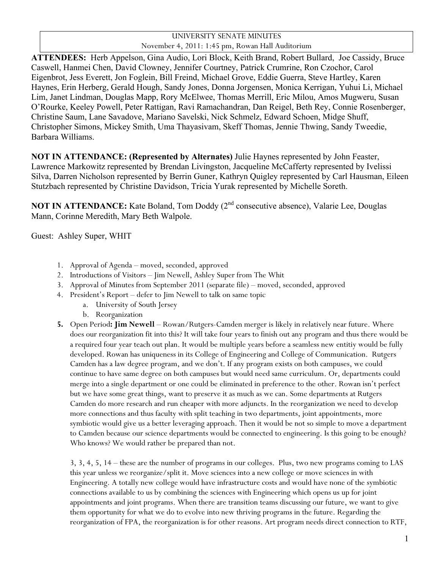## UNIVERSITY SENATE MINUTES November 4, 2011: 1:45 pm, Rowan Hall Auditorium

**ATTENDEES:** Herb Appelson, Gina Audio, Lori Block, Keith Brand, Robert Bullard, Joe Cassidy, Bruce Caswell, Hanmei Chen, David Clowney, Jennifer Courtney, Patrick Crumrine, Ron Czochor, Carol Eigenbrot, Jess Everett, Jon Foglein, Bill Freind, Michael Grove, Eddie Guerra, Steve Hartley, Karen Haynes, Erin Herberg, Gerald Hough, Sandy Jones, Donna Jorgensen, Monica Kerrigan, Yuhui Li, Michael Lim, Janet Lindman, Douglas Mapp, Rory McElwee, Thomas Merrill, Eric Milou, Amos Mugweru, Susan O'Rourke, Keeley Powell, Peter Rattigan, Ravi Ramachandran, Dan Reigel, Beth Rey, Connie Rosenberger, Christine Saum, Lane Savadove, Mariano Savelski, Nick Schmelz, Edward Schoen, Midge Shuff, Christopher Simons, Mickey Smith, Uma Thayasivam, Skeff Thomas, Jennie Thwing, Sandy Tweedie, Barbara Williams.

**NOT IN ATTENDANCE: (Represented by Alternates)** Julie Haynes represented by John Feaster, Lawrence Markowitz represented by Brendan Livingston, Jacqueline McCafferty represented by Ivelissi Silva, Darren Nicholson represented by Berrin Guner, Kathryn Quigley represented by Carl Hausman, Eileen Stutzbach represented by Christine Davidson, Tricia Yurak represented by Michelle Soreth.

**NOT IN ATTENDANCE:** Kate Boland, Tom Doddy (2<sup>nd</sup> consecutive absence), Valarie Lee, Douglas Mann, Corinne Meredith, Mary Beth Walpole.

Guest: Ashley Super, WHIT

- 1. Approval of Agenda moved, seconded, approved
- 2. Introductions of Visitors Jim Newell, Ashley Super from The Whit
- 3. Approval of Minutes from September 2011 (separate file) moved, seconded, approved
- 4. President's Report defer to Jim Newell to talk on same topic
	- a. University of South Jersey
	- b. Reorganization
- **5.** Open Period**: Jim Newell**  Rowan/Rutgers-Camden merger is likely in relatively near future. Where does our reorganization fit into this? It will take four years to finish out any program and thus there would be a required four year teach out plan. It would be multiple years before a seamless new entitiy would be fully developed. Rowan has uniqueness in its College of Engineering and College of Communication. Rutgers Camden has a law degree program, and we don't. If any program exists on both campuses, we could continue to have same degree on both campuses but would need same curriculum. Or, departments could merge into a single department or one could be eliminated in preference to the other. Rowan isn't perfect but we have some great things, want to preserve it as much as we can. Some departments at Rutgers Camden do more research and run cheaper with more adjuncts. In the reorganization we need to develop more connections and thus faculty with split teaching in two departments, joint appointments, more symbiotic would give us a better leveraging approach. Then it would be not so simple to move a department to Camden because our science departments would be connected to engineering. Is this going to be enough? Who knows? We would rather be prepared than not.

3, 3, 4, 5, 14 – these are the number of programs in our colleges. Plus, two new programs coming to LAS this year unless we reorganize/split it. Move sciences into a new college or move sciences in with Engineering. A totally new college would have infrastructure costs and would have none of the symbiotic connections available to us by combining the sciences with Engineering which opens us up for joint appointments and joint programs. When there are transition teams discussing our future, we want to give them opportunity for what we do to evolve into new thriving programs in the future. Regarding the reorganization of FPA, the reorganization is for other reasons. Art program needs direct connection to RTF,